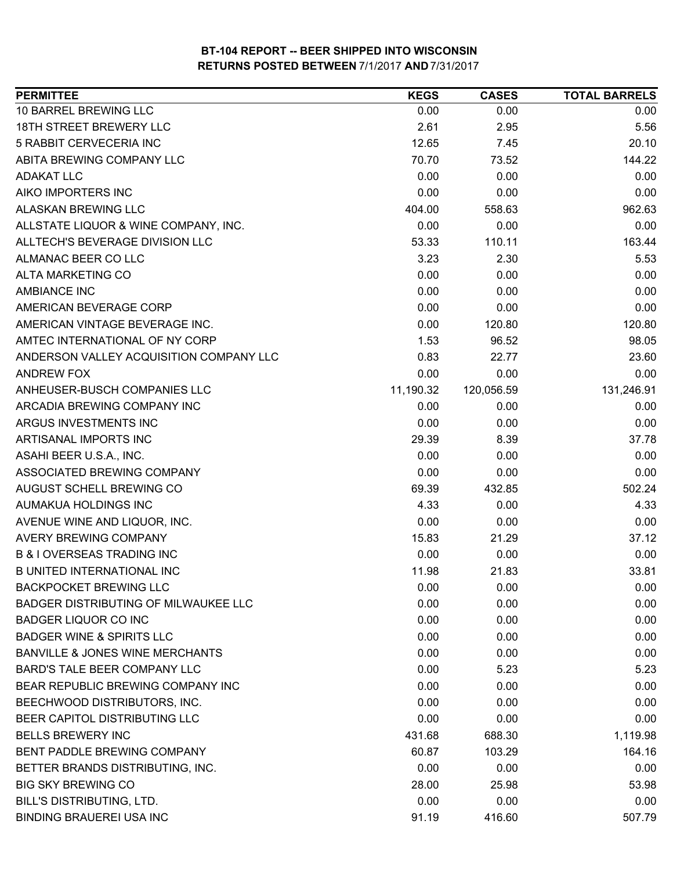| 10 BARREL BREWING LLC<br>0.00<br>0.00<br>0.00<br><b>18TH STREET BREWERY LLC</b><br>2.61<br>5.56<br>2.95<br>5 RABBIT CERVECERIA INC<br>12.65<br>20.10<br>7.45<br>ABITA BREWING COMPANY LLC<br>144.22<br>70.70<br>73.52<br>0.00<br><b>ADAKAT LLC</b><br>0.00<br>0.00<br>AIKO IMPORTERS INC<br>0.00<br>0.00<br>0.00<br><b>ALASKAN BREWING LLC</b><br>558.63<br>962.63<br>404.00<br>ALLSTATE LIQUOR & WINE COMPANY, INC.<br>0.00<br>0.00<br>0.00<br>ALLTECH'S BEVERAGE DIVISION LLC<br>53.33<br>110.11<br>163.44<br>ALMANAC BEER CO LLC<br>3.23<br>2.30<br>5.53<br><b>ALTA MARKETING CO</b><br>0.00<br>0.00<br>0.00<br><b>AMBIANCE INC</b><br>0.00<br>0.00<br>0.00<br>AMERICAN BEVERAGE CORP<br>0.00<br>0.00<br>0.00<br>AMERICAN VINTAGE BEVERAGE INC.<br>0.00<br>120.80<br>120.80<br>AMTEC INTERNATIONAL OF NY CORP<br>1.53<br>98.05<br>96.52<br>ANDERSON VALLEY ACQUISITION COMPANY LLC<br>0.83<br>22.77<br>23.60<br><b>ANDREW FOX</b><br>0.00<br>0.00<br>0.00<br>ANHEUSER-BUSCH COMPANIES LLC<br>11,190.32<br>120,056.59<br>131,246.91<br>ARCADIA BREWING COMPANY INC<br>0.00<br>0.00<br>0.00<br>ARGUS INVESTMENTS INC<br>0.00<br>0.00<br>0.00<br>ARTISANAL IMPORTS INC<br>29.39<br>8.39<br>37.78<br>ASAHI BEER U.S.A., INC.<br>0.00<br>0.00<br>0.00<br>ASSOCIATED BREWING COMPANY<br>0.00<br>0.00<br>0.00<br>AUGUST SCHELL BREWING CO<br>69.39<br>432.85<br>502.24<br>4.33<br>0.00<br>4.33<br>AUMAKUA HOLDINGS INC<br>0.00<br>AVENUE WINE AND LIQUOR, INC.<br>0.00<br>0.00<br><b>AVERY BREWING COMPANY</b><br>15.83<br>21.29<br>37.12<br><b>B &amp; I OVERSEAS TRADING INC</b><br>0.00<br>0.00<br>0.00<br><b>B UNITED INTERNATIONAL INC</b><br>11.98<br>21.83<br>33.81<br><b>BACKPOCKET BREWING LLC</b><br>0.00<br>0.00<br>0.00<br>BADGER DISTRIBUTING OF MILWAUKEE LLC<br>0.00<br>0.00<br>0.00<br>0.00<br>0.00<br>0.00<br><b>BADGER LIQUOR CO INC</b><br><b>BADGER WINE &amp; SPIRITS LLC</b><br>0.00<br>0.00<br>0.00<br><b>BANVILLE &amp; JONES WINE MERCHANTS</b><br>0.00<br>0.00<br>0.00<br>BARD'S TALE BEER COMPANY LLC<br>0.00<br>5.23<br>5.23<br>BEAR REPUBLIC BREWING COMPANY INC<br>0.00<br>0.00<br>0.00<br>0.00<br>0.00<br>BEECHWOOD DISTRIBUTORS, INC.<br>0.00<br>BEER CAPITOL DISTRIBUTING LLC<br>0.00<br>0.00<br>0.00<br><b>BELLS BREWERY INC</b><br>431.68<br>688.30<br>1,119.98<br>BENT PADDLE BREWING COMPANY<br>60.87<br>103.29<br>164.16<br>BETTER BRANDS DISTRIBUTING, INC.<br>0.00<br>0.00<br>0.00<br><b>BIG SKY BREWING CO</b><br>28.00<br>25.98<br>53.98<br><b>BILL'S DISTRIBUTING, LTD.</b><br>0.00<br>0.00<br>0.00<br><b>BINDING BRAUEREI USA INC</b><br>91.19<br>416.60<br>507.79 | <b>PERMITTEE</b> | <b>KEGS</b> | <b>CASES</b> | <b>TOTAL BARRELS</b> |
|------------------------------------------------------------------------------------------------------------------------------------------------------------------------------------------------------------------------------------------------------------------------------------------------------------------------------------------------------------------------------------------------------------------------------------------------------------------------------------------------------------------------------------------------------------------------------------------------------------------------------------------------------------------------------------------------------------------------------------------------------------------------------------------------------------------------------------------------------------------------------------------------------------------------------------------------------------------------------------------------------------------------------------------------------------------------------------------------------------------------------------------------------------------------------------------------------------------------------------------------------------------------------------------------------------------------------------------------------------------------------------------------------------------------------------------------------------------------------------------------------------------------------------------------------------------------------------------------------------------------------------------------------------------------------------------------------------------------------------------------------------------------------------------------------------------------------------------------------------------------------------------------------------------------------------------------------------------------------------------------------------------------------------------------------------------------------------------------------------------------------------------------------------------------------------------------------------------------------------------------------------------------------------------------------------------------------------------------------------------------------------------------------------------------------------------------------------------------------------------------------------------------------------------------------------------------------------------------------------|------------------|-------------|--------------|----------------------|
|                                                                                                                                                                                                                                                                                                                                                                                                                                                                                                                                                                                                                                                                                                                                                                                                                                                                                                                                                                                                                                                                                                                                                                                                                                                                                                                                                                                                                                                                                                                                                                                                                                                                                                                                                                                                                                                                                                                                                                                                                                                                                                                                                                                                                                                                                                                                                                                                                                                                                                                                                                                                            |                  |             |              |                      |
|                                                                                                                                                                                                                                                                                                                                                                                                                                                                                                                                                                                                                                                                                                                                                                                                                                                                                                                                                                                                                                                                                                                                                                                                                                                                                                                                                                                                                                                                                                                                                                                                                                                                                                                                                                                                                                                                                                                                                                                                                                                                                                                                                                                                                                                                                                                                                                                                                                                                                                                                                                                                            |                  |             |              |                      |
|                                                                                                                                                                                                                                                                                                                                                                                                                                                                                                                                                                                                                                                                                                                                                                                                                                                                                                                                                                                                                                                                                                                                                                                                                                                                                                                                                                                                                                                                                                                                                                                                                                                                                                                                                                                                                                                                                                                                                                                                                                                                                                                                                                                                                                                                                                                                                                                                                                                                                                                                                                                                            |                  |             |              |                      |
|                                                                                                                                                                                                                                                                                                                                                                                                                                                                                                                                                                                                                                                                                                                                                                                                                                                                                                                                                                                                                                                                                                                                                                                                                                                                                                                                                                                                                                                                                                                                                                                                                                                                                                                                                                                                                                                                                                                                                                                                                                                                                                                                                                                                                                                                                                                                                                                                                                                                                                                                                                                                            |                  |             |              |                      |
|                                                                                                                                                                                                                                                                                                                                                                                                                                                                                                                                                                                                                                                                                                                                                                                                                                                                                                                                                                                                                                                                                                                                                                                                                                                                                                                                                                                                                                                                                                                                                                                                                                                                                                                                                                                                                                                                                                                                                                                                                                                                                                                                                                                                                                                                                                                                                                                                                                                                                                                                                                                                            |                  |             |              |                      |
|                                                                                                                                                                                                                                                                                                                                                                                                                                                                                                                                                                                                                                                                                                                                                                                                                                                                                                                                                                                                                                                                                                                                                                                                                                                                                                                                                                                                                                                                                                                                                                                                                                                                                                                                                                                                                                                                                                                                                                                                                                                                                                                                                                                                                                                                                                                                                                                                                                                                                                                                                                                                            |                  |             |              |                      |
|                                                                                                                                                                                                                                                                                                                                                                                                                                                                                                                                                                                                                                                                                                                                                                                                                                                                                                                                                                                                                                                                                                                                                                                                                                                                                                                                                                                                                                                                                                                                                                                                                                                                                                                                                                                                                                                                                                                                                                                                                                                                                                                                                                                                                                                                                                                                                                                                                                                                                                                                                                                                            |                  |             |              |                      |
|                                                                                                                                                                                                                                                                                                                                                                                                                                                                                                                                                                                                                                                                                                                                                                                                                                                                                                                                                                                                                                                                                                                                                                                                                                                                                                                                                                                                                                                                                                                                                                                                                                                                                                                                                                                                                                                                                                                                                                                                                                                                                                                                                                                                                                                                                                                                                                                                                                                                                                                                                                                                            |                  |             |              |                      |
|                                                                                                                                                                                                                                                                                                                                                                                                                                                                                                                                                                                                                                                                                                                                                                                                                                                                                                                                                                                                                                                                                                                                                                                                                                                                                                                                                                                                                                                                                                                                                                                                                                                                                                                                                                                                                                                                                                                                                                                                                                                                                                                                                                                                                                                                                                                                                                                                                                                                                                                                                                                                            |                  |             |              |                      |
|                                                                                                                                                                                                                                                                                                                                                                                                                                                                                                                                                                                                                                                                                                                                                                                                                                                                                                                                                                                                                                                                                                                                                                                                                                                                                                                                                                                                                                                                                                                                                                                                                                                                                                                                                                                                                                                                                                                                                                                                                                                                                                                                                                                                                                                                                                                                                                                                                                                                                                                                                                                                            |                  |             |              |                      |
|                                                                                                                                                                                                                                                                                                                                                                                                                                                                                                                                                                                                                                                                                                                                                                                                                                                                                                                                                                                                                                                                                                                                                                                                                                                                                                                                                                                                                                                                                                                                                                                                                                                                                                                                                                                                                                                                                                                                                                                                                                                                                                                                                                                                                                                                                                                                                                                                                                                                                                                                                                                                            |                  |             |              |                      |
|                                                                                                                                                                                                                                                                                                                                                                                                                                                                                                                                                                                                                                                                                                                                                                                                                                                                                                                                                                                                                                                                                                                                                                                                                                                                                                                                                                                                                                                                                                                                                                                                                                                                                                                                                                                                                                                                                                                                                                                                                                                                                                                                                                                                                                                                                                                                                                                                                                                                                                                                                                                                            |                  |             |              |                      |
|                                                                                                                                                                                                                                                                                                                                                                                                                                                                                                                                                                                                                                                                                                                                                                                                                                                                                                                                                                                                                                                                                                                                                                                                                                                                                                                                                                                                                                                                                                                                                                                                                                                                                                                                                                                                                                                                                                                                                                                                                                                                                                                                                                                                                                                                                                                                                                                                                                                                                                                                                                                                            |                  |             |              |                      |
|                                                                                                                                                                                                                                                                                                                                                                                                                                                                                                                                                                                                                                                                                                                                                                                                                                                                                                                                                                                                                                                                                                                                                                                                                                                                                                                                                                                                                                                                                                                                                                                                                                                                                                                                                                                                                                                                                                                                                                                                                                                                                                                                                                                                                                                                                                                                                                                                                                                                                                                                                                                                            |                  |             |              |                      |
|                                                                                                                                                                                                                                                                                                                                                                                                                                                                                                                                                                                                                                                                                                                                                                                                                                                                                                                                                                                                                                                                                                                                                                                                                                                                                                                                                                                                                                                                                                                                                                                                                                                                                                                                                                                                                                                                                                                                                                                                                                                                                                                                                                                                                                                                                                                                                                                                                                                                                                                                                                                                            |                  |             |              |                      |
|                                                                                                                                                                                                                                                                                                                                                                                                                                                                                                                                                                                                                                                                                                                                                                                                                                                                                                                                                                                                                                                                                                                                                                                                                                                                                                                                                                                                                                                                                                                                                                                                                                                                                                                                                                                                                                                                                                                                                                                                                                                                                                                                                                                                                                                                                                                                                                                                                                                                                                                                                                                                            |                  |             |              |                      |
|                                                                                                                                                                                                                                                                                                                                                                                                                                                                                                                                                                                                                                                                                                                                                                                                                                                                                                                                                                                                                                                                                                                                                                                                                                                                                                                                                                                                                                                                                                                                                                                                                                                                                                                                                                                                                                                                                                                                                                                                                                                                                                                                                                                                                                                                                                                                                                                                                                                                                                                                                                                                            |                  |             |              |                      |
|                                                                                                                                                                                                                                                                                                                                                                                                                                                                                                                                                                                                                                                                                                                                                                                                                                                                                                                                                                                                                                                                                                                                                                                                                                                                                                                                                                                                                                                                                                                                                                                                                                                                                                                                                                                                                                                                                                                                                                                                                                                                                                                                                                                                                                                                                                                                                                                                                                                                                                                                                                                                            |                  |             |              |                      |
|                                                                                                                                                                                                                                                                                                                                                                                                                                                                                                                                                                                                                                                                                                                                                                                                                                                                                                                                                                                                                                                                                                                                                                                                                                                                                                                                                                                                                                                                                                                                                                                                                                                                                                                                                                                                                                                                                                                                                                                                                                                                                                                                                                                                                                                                                                                                                                                                                                                                                                                                                                                                            |                  |             |              |                      |
|                                                                                                                                                                                                                                                                                                                                                                                                                                                                                                                                                                                                                                                                                                                                                                                                                                                                                                                                                                                                                                                                                                                                                                                                                                                                                                                                                                                                                                                                                                                                                                                                                                                                                                                                                                                                                                                                                                                                                                                                                                                                                                                                                                                                                                                                                                                                                                                                                                                                                                                                                                                                            |                  |             |              |                      |
|                                                                                                                                                                                                                                                                                                                                                                                                                                                                                                                                                                                                                                                                                                                                                                                                                                                                                                                                                                                                                                                                                                                                                                                                                                                                                                                                                                                                                                                                                                                                                                                                                                                                                                                                                                                                                                                                                                                                                                                                                                                                                                                                                                                                                                                                                                                                                                                                                                                                                                                                                                                                            |                  |             |              |                      |
|                                                                                                                                                                                                                                                                                                                                                                                                                                                                                                                                                                                                                                                                                                                                                                                                                                                                                                                                                                                                                                                                                                                                                                                                                                                                                                                                                                                                                                                                                                                                                                                                                                                                                                                                                                                                                                                                                                                                                                                                                                                                                                                                                                                                                                                                                                                                                                                                                                                                                                                                                                                                            |                  |             |              |                      |
|                                                                                                                                                                                                                                                                                                                                                                                                                                                                                                                                                                                                                                                                                                                                                                                                                                                                                                                                                                                                                                                                                                                                                                                                                                                                                                                                                                                                                                                                                                                                                                                                                                                                                                                                                                                                                                                                                                                                                                                                                                                                                                                                                                                                                                                                                                                                                                                                                                                                                                                                                                                                            |                  |             |              |                      |
|                                                                                                                                                                                                                                                                                                                                                                                                                                                                                                                                                                                                                                                                                                                                                                                                                                                                                                                                                                                                                                                                                                                                                                                                                                                                                                                                                                                                                                                                                                                                                                                                                                                                                                                                                                                                                                                                                                                                                                                                                                                                                                                                                                                                                                                                                                                                                                                                                                                                                                                                                                                                            |                  |             |              |                      |
|                                                                                                                                                                                                                                                                                                                                                                                                                                                                                                                                                                                                                                                                                                                                                                                                                                                                                                                                                                                                                                                                                                                                                                                                                                                                                                                                                                                                                                                                                                                                                                                                                                                                                                                                                                                                                                                                                                                                                                                                                                                                                                                                                                                                                                                                                                                                                                                                                                                                                                                                                                                                            |                  |             |              |                      |
|                                                                                                                                                                                                                                                                                                                                                                                                                                                                                                                                                                                                                                                                                                                                                                                                                                                                                                                                                                                                                                                                                                                                                                                                                                                                                                                                                                                                                                                                                                                                                                                                                                                                                                                                                                                                                                                                                                                                                                                                                                                                                                                                                                                                                                                                                                                                                                                                                                                                                                                                                                                                            |                  |             |              |                      |
|                                                                                                                                                                                                                                                                                                                                                                                                                                                                                                                                                                                                                                                                                                                                                                                                                                                                                                                                                                                                                                                                                                                                                                                                                                                                                                                                                                                                                                                                                                                                                                                                                                                                                                                                                                                                                                                                                                                                                                                                                                                                                                                                                                                                                                                                                                                                                                                                                                                                                                                                                                                                            |                  |             |              |                      |
|                                                                                                                                                                                                                                                                                                                                                                                                                                                                                                                                                                                                                                                                                                                                                                                                                                                                                                                                                                                                                                                                                                                                                                                                                                                                                                                                                                                                                                                                                                                                                                                                                                                                                                                                                                                                                                                                                                                                                                                                                                                                                                                                                                                                                                                                                                                                                                                                                                                                                                                                                                                                            |                  |             |              |                      |
|                                                                                                                                                                                                                                                                                                                                                                                                                                                                                                                                                                                                                                                                                                                                                                                                                                                                                                                                                                                                                                                                                                                                                                                                                                                                                                                                                                                                                                                                                                                                                                                                                                                                                                                                                                                                                                                                                                                                                                                                                                                                                                                                                                                                                                                                                                                                                                                                                                                                                                                                                                                                            |                  |             |              |                      |
|                                                                                                                                                                                                                                                                                                                                                                                                                                                                                                                                                                                                                                                                                                                                                                                                                                                                                                                                                                                                                                                                                                                                                                                                                                                                                                                                                                                                                                                                                                                                                                                                                                                                                                                                                                                                                                                                                                                                                                                                                                                                                                                                                                                                                                                                                                                                                                                                                                                                                                                                                                                                            |                  |             |              |                      |
|                                                                                                                                                                                                                                                                                                                                                                                                                                                                                                                                                                                                                                                                                                                                                                                                                                                                                                                                                                                                                                                                                                                                                                                                                                                                                                                                                                                                                                                                                                                                                                                                                                                                                                                                                                                                                                                                                                                                                                                                                                                                                                                                                                                                                                                                                                                                                                                                                                                                                                                                                                                                            |                  |             |              |                      |
|                                                                                                                                                                                                                                                                                                                                                                                                                                                                                                                                                                                                                                                                                                                                                                                                                                                                                                                                                                                                                                                                                                                                                                                                                                                                                                                                                                                                                                                                                                                                                                                                                                                                                                                                                                                                                                                                                                                                                                                                                                                                                                                                                                                                                                                                                                                                                                                                                                                                                                                                                                                                            |                  |             |              |                      |
|                                                                                                                                                                                                                                                                                                                                                                                                                                                                                                                                                                                                                                                                                                                                                                                                                                                                                                                                                                                                                                                                                                                                                                                                                                                                                                                                                                                                                                                                                                                                                                                                                                                                                                                                                                                                                                                                                                                                                                                                                                                                                                                                                                                                                                                                                                                                                                                                                                                                                                                                                                                                            |                  |             |              |                      |
|                                                                                                                                                                                                                                                                                                                                                                                                                                                                                                                                                                                                                                                                                                                                                                                                                                                                                                                                                                                                                                                                                                                                                                                                                                                                                                                                                                                                                                                                                                                                                                                                                                                                                                                                                                                                                                                                                                                                                                                                                                                                                                                                                                                                                                                                                                                                                                                                                                                                                                                                                                                                            |                  |             |              |                      |
|                                                                                                                                                                                                                                                                                                                                                                                                                                                                                                                                                                                                                                                                                                                                                                                                                                                                                                                                                                                                                                                                                                                                                                                                                                                                                                                                                                                                                                                                                                                                                                                                                                                                                                                                                                                                                                                                                                                                                                                                                                                                                                                                                                                                                                                                                                                                                                                                                                                                                                                                                                                                            |                  |             |              |                      |
|                                                                                                                                                                                                                                                                                                                                                                                                                                                                                                                                                                                                                                                                                                                                                                                                                                                                                                                                                                                                                                                                                                                                                                                                                                                                                                                                                                                                                                                                                                                                                                                                                                                                                                                                                                                                                                                                                                                                                                                                                                                                                                                                                                                                                                                                                                                                                                                                                                                                                                                                                                                                            |                  |             |              |                      |
|                                                                                                                                                                                                                                                                                                                                                                                                                                                                                                                                                                                                                                                                                                                                                                                                                                                                                                                                                                                                                                                                                                                                                                                                                                                                                                                                                                                                                                                                                                                                                                                                                                                                                                                                                                                                                                                                                                                                                                                                                                                                                                                                                                                                                                                                                                                                                                                                                                                                                                                                                                                                            |                  |             |              |                      |
|                                                                                                                                                                                                                                                                                                                                                                                                                                                                                                                                                                                                                                                                                                                                                                                                                                                                                                                                                                                                                                                                                                                                                                                                                                                                                                                                                                                                                                                                                                                                                                                                                                                                                                                                                                                                                                                                                                                                                                                                                                                                                                                                                                                                                                                                                                                                                                                                                                                                                                                                                                                                            |                  |             |              |                      |
|                                                                                                                                                                                                                                                                                                                                                                                                                                                                                                                                                                                                                                                                                                                                                                                                                                                                                                                                                                                                                                                                                                                                                                                                                                                                                                                                                                                                                                                                                                                                                                                                                                                                                                                                                                                                                                                                                                                                                                                                                                                                                                                                                                                                                                                                                                                                                                                                                                                                                                                                                                                                            |                  |             |              |                      |
|                                                                                                                                                                                                                                                                                                                                                                                                                                                                                                                                                                                                                                                                                                                                                                                                                                                                                                                                                                                                                                                                                                                                                                                                                                                                                                                                                                                                                                                                                                                                                                                                                                                                                                                                                                                                                                                                                                                                                                                                                                                                                                                                                                                                                                                                                                                                                                                                                                                                                                                                                                                                            |                  |             |              |                      |
|                                                                                                                                                                                                                                                                                                                                                                                                                                                                                                                                                                                                                                                                                                                                                                                                                                                                                                                                                                                                                                                                                                                                                                                                                                                                                                                                                                                                                                                                                                                                                                                                                                                                                                                                                                                                                                                                                                                                                                                                                                                                                                                                                                                                                                                                                                                                                                                                                                                                                                                                                                                                            |                  |             |              |                      |
|                                                                                                                                                                                                                                                                                                                                                                                                                                                                                                                                                                                                                                                                                                                                                                                                                                                                                                                                                                                                                                                                                                                                                                                                                                                                                                                                                                                                                                                                                                                                                                                                                                                                                                                                                                                                                                                                                                                                                                                                                                                                                                                                                                                                                                                                                                                                                                                                                                                                                                                                                                                                            |                  |             |              |                      |
|                                                                                                                                                                                                                                                                                                                                                                                                                                                                                                                                                                                                                                                                                                                                                                                                                                                                                                                                                                                                                                                                                                                                                                                                                                                                                                                                                                                                                                                                                                                                                                                                                                                                                                                                                                                                                                                                                                                                                                                                                                                                                                                                                                                                                                                                                                                                                                                                                                                                                                                                                                                                            |                  |             |              |                      |
|                                                                                                                                                                                                                                                                                                                                                                                                                                                                                                                                                                                                                                                                                                                                                                                                                                                                                                                                                                                                                                                                                                                                                                                                                                                                                                                                                                                                                                                                                                                                                                                                                                                                                                                                                                                                                                                                                                                                                                                                                                                                                                                                                                                                                                                                                                                                                                                                                                                                                                                                                                                                            |                  |             |              |                      |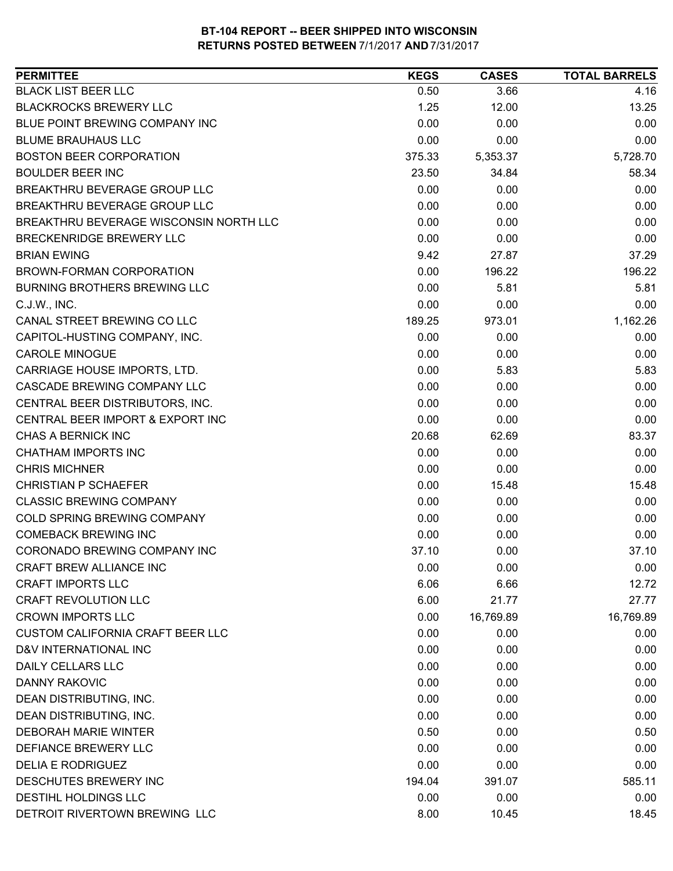| <b>PERMITTEE</b>                        | <b>KEGS</b> | <b>CASES</b> | <b>TOTAL BARRELS</b> |
|-----------------------------------------|-------------|--------------|----------------------|
| <b>BLACK LIST BEER LLC</b>              | 0.50        | 3.66         | 4.16                 |
| <b>BLACKROCKS BREWERY LLC</b>           | 1.25        | 12.00        | 13.25                |
| BLUE POINT BREWING COMPANY INC          | 0.00        | 0.00         | 0.00                 |
| <b>BLUME BRAUHAUS LLC</b>               | 0.00        | 0.00         | 0.00                 |
| <b>BOSTON BEER CORPORATION</b>          | 375.33      | 5,353.37     | 5,728.70             |
| <b>BOULDER BEER INC</b>                 | 23.50       | 34.84        | 58.34                |
| BREAKTHRU BEVERAGE GROUP LLC            | 0.00        | 0.00         | 0.00                 |
| BREAKTHRU BEVERAGE GROUP LLC            | 0.00        | 0.00         | 0.00                 |
| BREAKTHRU BEVERAGE WISCONSIN NORTH LLC  | 0.00        | 0.00         | 0.00                 |
| BRECKENRIDGE BREWERY LLC                | 0.00        | 0.00         | 0.00                 |
| <b>BRIAN EWING</b>                      | 9.42        | 27.87        | 37.29                |
| BROWN-FORMAN CORPORATION                | 0.00        | 196.22       | 196.22               |
| BURNING BROTHERS BREWING LLC            | 0.00        | 5.81         | 5.81                 |
| C.J.W., INC.                            | 0.00        | 0.00         | 0.00                 |
| CANAL STREET BREWING CO LLC             | 189.25      | 973.01       | 1,162.26             |
| CAPITOL-HUSTING COMPANY, INC.           | 0.00        | 0.00         | 0.00                 |
| <b>CAROLE MINOGUE</b>                   | 0.00        | 0.00         | 0.00                 |
| CARRIAGE HOUSE IMPORTS, LTD.            | 0.00        | 5.83         | 5.83                 |
| CASCADE BREWING COMPANY LLC             | 0.00        | 0.00         | 0.00                 |
| CENTRAL BEER DISTRIBUTORS, INC.         | 0.00        | 0.00         | 0.00                 |
| CENTRAL BEER IMPORT & EXPORT INC        | 0.00        | 0.00         | 0.00                 |
| CHAS A BERNICK INC                      | 20.68       | 62.69        | 83.37                |
| <b>CHATHAM IMPORTS INC</b>              | 0.00        | 0.00         | 0.00                 |
| <b>CHRIS MICHNER</b>                    | 0.00        | 0.00         | 0.00                 |
| <b>CHRISTIAN P SCHAEFER</b>             | 0.00        | 15.48        | 15.48                |
| <b>CLASSIC BREWING COMPANY</b>          | 0.00        | 0.00         | 0.00                 |
| COLD SPRING BREWING COMPANY             | 0.00        | 0.00         | 0.00                 |
| <b>COMEBACK BREWING INC</b>             | 0.00        | 0.00         | 0.00                 |
| CORONADO BREWING COMPANY INC            | 37.10       | 0.00         | 37.10                |
| CRAFT BREW ALLIANCE INC                 | 0.00        | 0.00         | 0.00                 |
| <b>CRAFT IMPORTS LLC</b>                | 6.06        | 6.66         | 12.72                |
| <b>CRAFT REVOLUTION LLC</b>             | 6.00        | 21.77        | 27.77                |
| <b>CROWN IMPORTS LLC</b>                | 0.00        | 16,769.89    | 16,769.89            |
| <b>CUSTOM CALIFORNIA CRAFT BEER LLC</b> | 0.00        | 0.00         | 0.00                 |
| D&V INTERNATIONAL INC                   | 0.00        | 0.00         | 0.00                 |
| DAILY CELLARS LLC                       | 0.00        | 0.00         | 0.00                 |
| <b>DANNY RAKOVIC</b>                    | 0.00        | 0.00         | 0.00                 |
|                                         |             |              |                      |
| DEAN DISTRIBUTING, INC.                 | 0.00        | 0.00         | 0.00                 |
| DEAN DISTRIBUTING, INC.                 | 0.00        | 0.00         | 0.00                 |
| <b>DEBORAH MARIE WINTER</b>             | 0.50        | 0.00         | 0.50                 |
| DEFIANCE BREWERY LLC                    | 0.00        | 0.00         | 0.00                 |
| <b>DELIA E RODRIGUEZ</b>                | 0.00        | 0.00         | 0.00                 |
| DESCHUTES BREWERY INC                   | 194.04      | 391.07       | 585.11               |
| DESTIHL HOLDINGS LLC                    | 0.00        | 0.00         | 0.00                 |
| DETROIT RIVERTOWN BREWING LLC           | 8.00        | 10.45        | 18.45                |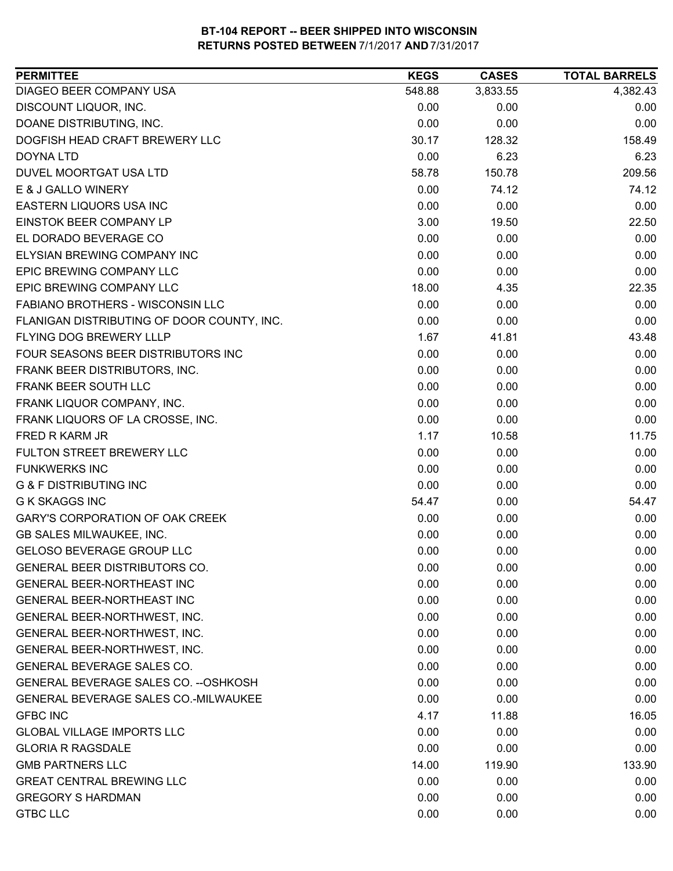| 3,833.55<br>4,382.43<br>548.88<br>0.00<br>0.00<br>0.00<br>0.00<br>0.00<br>0.00<br>128.32<br>158.49<br>30.17<br>0.00<br>6.23<br>6.23<br>58.78<br>150.78<br>209.56<br>0.00<br>74.12<br>74.12<br>0.00<br>0.00<br>0.00<br>22.50<br>3.00<br>19.50<br>0.00<br>0.00<br>0.00<br>0.00<br>0.00<br>0.00<br>0.00<br>0.00<br>0.00<br>18.00<br>22.35<br>4.35<br>0.00<br>0.00<br>0.00<br>0.00<br>0.00<br>0.00<br>1.67<br>41.81<br>43.48<br>0.00<br>0.00<br>0.00<br>0.00<br>0.00<br>0.00<br>0.00<br>0.00<br>0.00<br>0.00<br>0.00<br>0.00<br>0.00<br>0.00<br>0.00<br>1.17<br>10.58<br>11.75<br>0.00<br>0.00<br>0.00<br>0.00<br>0.00<br>0.00<br>0.00<br>0.00<br>0.00<br>54.47<br>0.00<br>54.47<br>0.00<br>0.00<br>0.00<br>0.00<br>0.00<br>0.00<br>0.00<br>0.00<br>0.00<br>0.00<br>0.00<br>0.00<br>0.00<br>0.00<br>0.00<br>0.00<br>0.00<br>0.00<br>0.00<br>0.00<br>0.00<br>0.00<br>0.00<br>0.00<br>0.00<br>0.00<br>0.00<br>0.00<br>0.00<br>0.00<br>0.00<br>0.00<br>0.00<br>0.00<br>0.00<br>0.00<br>4.17<br>16.05<br>11.88<br>0.00<br>0.00<br>0.00 | <b>PERMITTEE</b>                            | <b>KEGS</b> | <b>CASES</b> | <b>TOTAL BARRELS</b> |
|--------------------------------------------------------------------------------------------------------------------------------------------------------------------------------------------------------------------------------------------------------------------------------------------------------------------------------------------------------------------------------------------------------------------------------------------------------------------------------------------------------------------------------------------------------------------------------------------------------------------------------------------------------------------------------------------------------------------------------------------------------------------------------------------------------------------------------------------------------------------------------------------------------------------------------------------------------------------------------------------------------------------------------|---------------------------------------------|-------------|--------------|----------------------|
|                                                                                                                                                                                                                                                                                                                                                                                                                                                                                                                                                                                                                                                                                                                                                                                                                                                                                                                                                                                                                                | DIAGEO BEER COMPANY USA                     |             |              |                      |
|                                                                                                                                                                                                                                                                                                                                                                                                                                                                                                                                                                                                                                                                                                                                                                                                                                                                                                                                                                                                                                | DISCOUNT LIQUOR, INC.                       |             |              |                      |
|                                                                                                                                                                                                                                                                                                                                                                                                                                                                                                                                                                                                                                                                                                                                                                                                                                                                                                                                                                                                                                | DOANE DISTRIBUTING, INC.                    |             |              |                      |
|                                                                                                                                                                                                                                                                                                                                                                                                                                                                                                                                                                                                                                                                                                                                                                                                                                                                                                                                                                                                                                | DOGFISH HEAD CRAFT BREWERY LLC              |             |              |                      |
|                                                                                                                                                                                                                                                                                                                                                                                                                                                                                                                                                                                                                                                                                                                                                                                                                                                                                                                                                                                                                                | DOYNA LTD                                   |             |              |                      |
|                                                                                                                                                                                                                                                                                                                                                                                                                                                                                                                                                                                                                                                                                                                                                                                                                                                                                                                                                                                                                                | DUVEL MOORTGAT USA LTD                      |             |              |                      |
|                                                                                                                                                                                                                                                                                                                                                                                                                                                                                                                                                                                                                                                                                                                                                                                                                                                                                                                                                                                                                                | E & J GALLO WINERY                          |             |              |                      |
|                                                                                                                                                                                                                                                                                                                                                                                                                                                                                                                                                                                                                                                                                                                                                                                                                                                                                                                                                                                                                                | EASTERN LIQUORS USA INC                     |             |              |                      |
|                                                                                                                                                                                                                                                                                                                                                                                                                                                                                                                                                                                                                                                                                                                                                                                                                                                                                                                                                                                                                                | EINSTOK BEER COMPANY LP                     |             |              |                      |
|                                                                                                                                                                                                                                                                                                                                                                                                                                                                                                                                                                                                                                                                                                                                                                                                                                                                                                                                                                                                                                | EL DORADO BEVERAGE CO                       |             |              |                      |
|                                                                                                                                                                                                                                                                                                                                                                                                                                                                                                                                                                                                                                                                                                                                                                                                                                                                                                                                                                                                                                | ELYSIAN BREWING COMPANY INC                 |             |              |                      |
|                                                                                                                                                                                                                                                                                                                                                                                                                                                                                                                                                                                                                                                                                                                                                                                                                                                                                                                                                                                                                                | EPIC BREWING COMPANY LLC                    |             |              |                      |
|                                                                                                                                                                                                                                                                                                                                                                                                                                                                                                                                                                                                                                                                                                                                                                                                                                                                                                                                                                                                                                | EPIC BREWING COMPANY LLC                    |             |              |                      |
|                                                                                                                                                                                                                                                                                                                                                                                                                                                                                                                                                                                                                                                                                                                                                                                                                                                                                                                                                                                                                                | FABIANO BROTHERS - WISCONSIN LLC            |             |              |                      |
|                                                                                                                                                                                                                                                                                                                                                                                                                                                                                                                                                                                                                                                                                                                                                                                                                                                                                                                                                                                                                                | FLANIGAN DISTRIBUTING OF DOOR COUNTY, INC.  |             |              |                      |
|                                                                                                                                                                                                                                                                                                                                                                                                                                                                                                                                                                                                                                                                                                                                                                                                                                                                                                                                                                                                                                | <b>FLYING DOG BREWERY LLLP</b>              |             |              |                      |
|                                                                                                                                                                                                                                                                                                                                                                                                                                                                                                                                                                                                                                                                                                                                                                                                                                                                                                                                                                                                                                | FOUR SEASONS BEER DISTRIBUTORS INC          |             |              |                      |
|                                                                                                                                                                                                                                                                                                                                                                                                                                                                                                                                                                                                                                                                                                                                                                                                                                                                                                                                                                                                                                | FRANK BEER DISTRIBUTORS, INC.               |             |              |                      |
|                                                                                                                                                                                                                                                                                                                                                                                                                                                                                                                                                                                                                                                                                                                                                                                                                                                                                                                                                                                                                                | FRANK BEER SOUTH LLC                        |             |              |                      |
|                                                                                                                                                                                                                                                                                                                                                                                                                                                                                                                                                                                                                                                                                                                                                                                                                                                                                                                                                                                                                                | FRANK LIQUOR COMPANY, INC.                  |             |              |                      |
|                                                                                                                                                                                                                                                                                                                                                                                                                                                                                                                                                                                                                                                                                                                                                                                                                                                                                                                                                                                                                                | FRANK LIQUORS OF LA CROSSE, INC.            |             |              |                      |
|                                                                                                                                                                                                                                                                                                                                                                                                                                                                                                                                                                                                                                                                                                                                                                                                                                                                                                                                                                                                                                | FRED R KARM JR                              |             |              |                      |
|                                                                                                                                                                                                                                                                                                                                                                                                                                                                                                                                                                                                                                                                                                                                                                                                                                                                                                                                                                                                                                | FULTON STREET BREWERY LLC                   |             |              |                      |
|                                                                                                                                                                                                                                                                                                                                                                                                                                                                                                                                                                                                                                                                                                                                                                                                                                                                                                                                                                                                                                | <b>FUNKWERKS INC</b>                        |             |              |                      |
|                                                                                                                                                                                                                                                                                                                                                                                                                                                                                                                                                                                                                                                                                                                                                                                                                                                                                                                                                                                                                                | <b>G &amp; F DISTRIBUTING INC</b>           |             |              |                      |
|                                                                                                                                                                                                                                                                                                                                                                                                                                                                                                                                                                                                                                                                                                                                                                                                                                                                                                                                                                                                                                | <b>G K SKAGGS INC</b>                       |             |              |                      |
|                                                                                                                                                                                                                                                                                                                                                                                                                                                                                                                                                                                                                                                                                                                                                                                                                                                                                                                                                                                                                                | <b>GARY'S CORPORATION OF OAK CREEK</b>      |             |              |                      |
|                                                                                                                                                                                                                                                                                                                                                                                                                                                                                                                                                                                                                                                                                                                                                                                                                                                                                                                                                                                                                                | GB SALES MILWAUKEE, INC.                    |             |              |                      |
|                                                                                                                                                                                                                                                                                                                                                                                                                                                                                                                                                                                                                                                                                                                                                                                                                                                                                                                                                                                                                                | GELOSO BEVERAGE GROUP LLC                   |             |              |                      |
|                                                                                                                                                                                                                                                                                                                                                                                                                                                                                                                                                                                                                                                                                                                                                                                                                                                                                                                                                                                                                                | GENERAL BEER DISTRIBUTORS CO.               |             |              |                      |
|                                                                                                                                                                                                                                                                                                                                                                                                                                                                                                                                                                                                                                                                                                                                                                                                                                                                                                                                                                                                                                | <b>GENERAL BEER-NORTHEAST INC</b>           |             |              |                      |
|                                                                                                                                                                                                                                                                                                                                                                                                                                                                                                                                                                                                                                                                                                                                                                                                                                                                                                                                                                                                                                | <b>GENERAL BEER-NORTHEAST INC</b>           |             |              |                      |
|                                                                                                                                                                                                                                                                                                                                                                                                                                                                                                                                                                                                                                                                                                                                                                                                                                                                                                                                                                                                                                | GENERAL BEER-NORTHWEST, INC.                |             |              |                      |
|                                                                                                                                                                                                                                                                                                                                                                                                                                                                                                                                                                                                                                                                                                                                                                                                                                                                                                                                                                                                                                | GENERAL BEER-NORTHWEST, INC.                |             |              |                      |
|                                                                                                                                                                                                                                                                                                                                                                                                                                                                                                                                                                                                                                                                                                                                                                                                                                                                                                                                                                                                                                | GENERAL BEER-NORTHWEST, INC.                |             |              |                      |
|                                                                                                                                                                                                                                                                                                                                                                                                                                                                                                                                                                                                                                                                                                                                                                                                                                                                                                                                                                                                                                | GENERAL BEVERAGE SALES CO.                  |             |              |                      |
|                                                                                                                                                                                                                                                                                                                                                                                                                                                                                                                                                                                                                                                                                                                                                                                                                                                                                                                                                                                                                                | GENERAL BEVERAGE SALES CO. -- OSHKOSH       |             |              |                      |
|                                                                                                                                                                                                                                                                                                                                                                                                                                                                                                                                                                                                                                                                                                                                                                                                                                                                                                                                                                                                                                | <b>GENERAL BEVERAGE SALES CO.-MILWAUKEE</b> |             |              |                      |
|                                                                                                                                                                                                                                                                                                                                                                                                                                                                                                                                                                                                                                                                                                                                                                                                                                                                                                                                                                                                                                | <b>GFBC INC</b>                             |             |              |                      |
|                                                                                                                                                                                                                                                                                                                                                                                                                                                                                                                                                                                                                                                                                                                                                                                                                                                                                                                                                                                                                                | <b>GLOBAL VILLAGE IMPORTS LLC</b>           |             |              |                      |
|                                                                                                                                                                                                                                                                                                                                                                                                                                                                                                                                                                                                                                                                                                                                                                                                                                                                                                                                                                                                                                | <b>GLORIA R RAGSDALE</b>                    | 0.00        | 0.00         | 0.00                 |
| 133.90<br>14.00<br>119.90                                                                                                                                                                                                                                                                                                                                                                                                                                                                                                                                                                                                                                                                                                                                                                                                                                                                                                                                                                                                      | <b>GMB PARTNERS LLC</b>                     |             |              |                      |
| 0.00<br>0.00<br>0.00                                                                                                                                                                                                                                                                                                                                                                                                                                                                                                                                                                                                                                                                                                                                                                                                                                                                                                                                                                                                           | <b>GREAT CENTRAL BREWING LLC</b>            |             |              |                      |
| 0.00<br>0.00<br>0.00                                                                                                                                                                                                                                                                                                                                                                                                                                                                                                                                                                                                                                                                                                                                                                                                                                                                                                                                                                                                           | <b>GREGORY S HARDMAN</b>                    |             |              |                      |
| 0.00<br>0.00<br>0.00                                                                                                                                                                                                                                                                                                                                                                                                                                                                                                                                                                                                                                                                                                                                                                                                                                                                                                                                                                                                           | <b>GTBC LLC</b>                             |             |              |                      |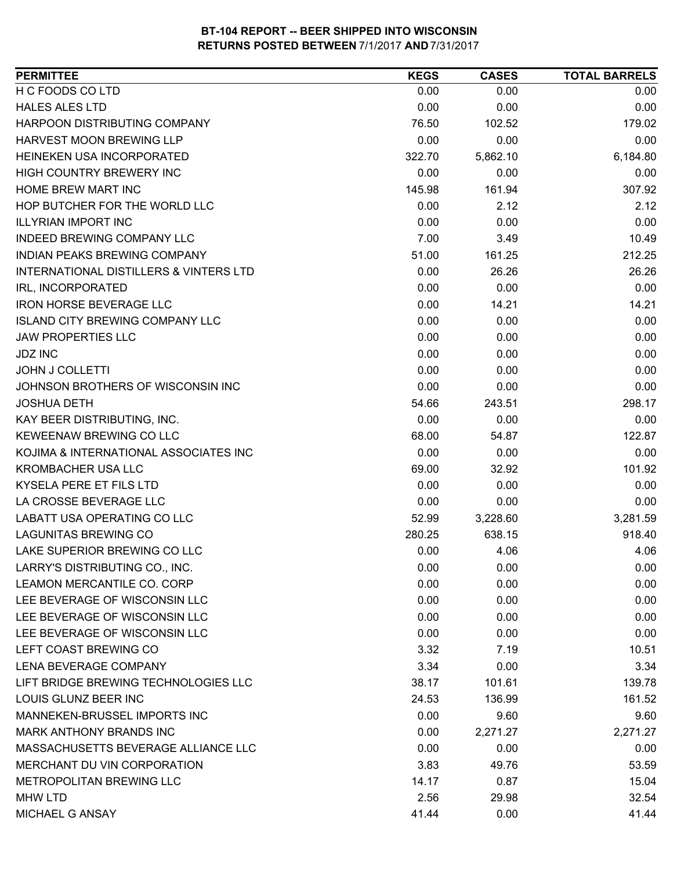| <b>PERMITTEE</b>                       | <b>KEGS</b> | <b>CASES</b> | <b>TOTAL BARRELS</b> |
|----------------------------------------|-------------|--------------|----------------------|
| H C FOODS CO LTD                       | 0.00        | 0.00         | 0.00                 |
| <b>HALES ALES LTD</b>                  | 0.00        | 0.00         | 0.00                 |
| HARPOON DISTRIBUTING COMPANY           | 76.50       | 102.52       | 179.02               |
| <b>HARVEST MOON BREWING LLP</b>        | 0.00        | 0.00         | 0.00                 |
| HEINEKEN USA INCORPORATED              | 322.70      | 5,862.10     | 6,184.80             |
| HIGH COUNTRY BREWERY INC               | 0.00        | 0.00         | 0.00                 |
| HOME BREW MART INC                     | 145.98      | 161.94       | 307.92               |
| HOP BUTCHER FOR THE WORLD LLC          | 0.00        | 2.12         | 2.12                 |
| <b>ILLYRIAN IMPORT INC</b>             | 0.00        | 0.00         | 0.00                 |
| INDEED BREWING COMPANY LLC             | 7.00        | 3.49         | 10.49                |
| INDIAN PEAKS BREWING COMPANY           | 51.00       | 161.25       | 212.25               |
| INTERNATIONAL DISTILLERS & VINTERS LTD | 0.00        | 26.26        | 26.26                |
| IRL, INCORPORATED                      | 0.00        | 0.00         | 0.00                 |
| <b>IRON HORSE BEVERAGE LLC</b>         | 0.00        | 14.21        | 14.21                |
| <b>ISLAND CITY BREWING COMPANY LLC</b> | 0.00        | 0.00         | 0.00                 |
| <b>JAW PROPERTIES LLC</b>              | 0.00        | 0.00         | 0.00                 |
| <b>JDZ INC</b>                         | 0.00        | 0.00         | 0.00                 |
| <b>JOHN J COLLETTI</b>                 | 0.00        | 0.00         | 0.00                 |
| JOHNSON BROTHERS OF WISCONSIN INC      | 0.00        | 0.00         | 0.00                 |
| <b>JOSHUA DETH</b>                     | 54.66       | 243.51       | 298.17               |
| KAY BEER DISTRIBUTING, INC.            | 0.00        | 0.00         | 0.00                 |
| KEWEENAW BREWING CO LLC                | 68.00       | 54.87        | 122.87               |
| KOJIMA & INTERNATIONAL ASSOCIATES INC  | 0.00        | 0.00         | 0.00                 |
| <b>KROMBACHER USA LLC</b>              | 69.00       | 32.92        | 101.92               |
| KYSELA PERE ET FILS LTD                | 0.00        | 0.00         | 0.00                 |
| LA CROSSE BEVERAGE LLC                 | 0.00        | 0.00         | 0.00                 |
| LABATT USA OPERATING CO LLC            | 52.99       | 3,228.60     | 3,281.59             |
| <b>LAGUNITAS BREWING CO</b>            | 280.25      | 638.15       | 918.40               |
| LAKE SUPERIOR BREWING CO LLC           | 0.00        | 4.06         | 4.06                 |
| LARRY'S DISTRIBUTING CO., INC.         | 0.00        | 0.00         | 0.00                 |
| LEAMON MERCANTILE CO. CORP             | 0.00        | 0.00         | 0.00                 |
| LEE BEVERAGE OF WISCONSIN LLC          | 0.00        | 0.00         | 0.00                 |
| LEE BEVERAGE OF WISCONSIN LLC          | 0.00        | 0.00         | 0.00                 |
| LEE BEVERAGE OF WISCONSIN LLC          | 0.00        | 0.00         | 0.00                 |
| LEFT COAST BREWING CO                  | 3.32        | 7.19         | 10.51                |
| <b>LENA BEVERAGE COMPANY</b>           | 3.34        | 0.00         | 3.34                 |
| LIFT BRIDGE BREWING TECHNOLOGIES LLC   | 38.17       | 101.61       | 139.78               |
| LOUIS GLUNZ BEER INC                   | 24.53       | 136.99       | 161.52               |
| MANNEKEN-BRUSSEL IMPORTS INC           | 0.00        | 9.60         | 9.60                 |
| <b>MARK ANTHONY BRANDS INC</b>         | 0.00        | 2,271.27     | 2,271.27             |
| MASSACHUSETTS BEVERAGE ALLIANCE LLC    | 0.00        | 0.00         | 0.00                 |
| MERCHANT DU VIN CORPORATION            | 3.83        | 49.76        | 53.59                |
| METROPOLITAN BREWING LLC               | 14.17       | 0.87         | 15.04                |
| <b>MHW LTD</b>                         | 2.56        | 29.98        | 32.54                |
| MICHAEL G ANSAY                        | 41.44       | 0.00         | 41.44                |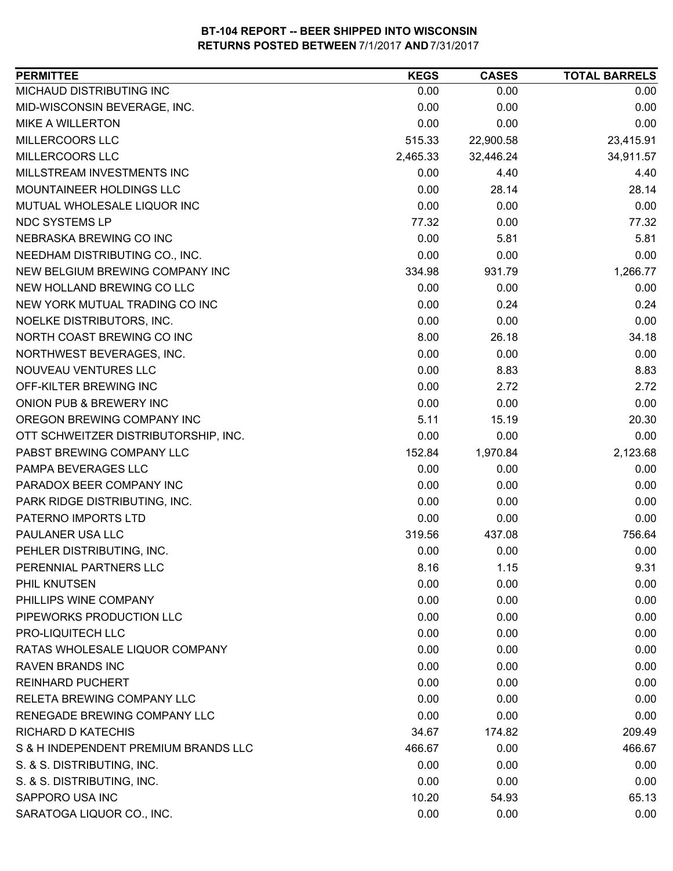| MICHAUD DISTRIBUTING INC<br>0.00<br>0.00<br>MID-WISCONSIN BEVERAGE, INC.<br>0.00<br>0.00<br>0.00<br><b>MIKE A WILLERTON</b><br>0.00<br>MILLERCOORS LLC<br>22,900.58<br>515.33<br>MILLERCOORS LLC<br>2,465.33<br>32,446.24<br>MILLSTREAM INVESTMENTS INC<br>0.00<br>4.40 | 0.00<br>0.00<br>0.00<br>23,415.91<br>34,911.57<br>4.40<br>28.14<br>0.00<br>77.32 |
|-------------------------------------------------------------------------------------------------------------------------------------------------------------------------------------------------------------------------------------------------------------------------|----------------------------------------------------------------------------------|
|                                                                                                                                                                                                                                                                         |                                                                                  |
|                                                                                                                                                                                                                                                                         |                                                                                  |
|                                                                                                                                                                                                                                                                         |                                                                                  |
|                                                                                                                                                                                                                                                                         |                                                                                  |
|                                                                                                                                                                                                                                                                         |                                                                                  |
|                                                                                                                                                                                                                                                                         |                                                                                  |
| MOUNTAINEER HOLDINGS LLC<br>0.00<br>28.14                                                                                                                                                                                                                               |                                                                                  |
| 0.00<br>MUTUAL WHOLESALE LIQUOR INC<br>0.00                                                                                                                                                                                                                             |                                                                                  |
| NDC SYSTEMS LP<br>77.32<br>0.00                                                                                                                                                                                                                                         |                                                                                  |
| NEBRASKA BREWING CO INC<br>0.00<br>5.81                                                                                                                                                                                                                                 | 5.81                                                                             |
| 0.00<br>NEEDHAM DISTRIBUTING CO., INC.<br>0.00                                                                                                                                                                                                                          | 0.00                                                                             |
| NEW BELGIUM BREWING COMPANY INC<br>334.98<br>931.79                                                                                                                                                                                                                     | 1,266.77                                                                         |
| 0.00<br>NEW HOLLAND BREWING CO LLC<br>0.00                                                                                                                                                                                                                              | 0.00                                                                             |
| NEW YORK MUTUAL TRADING CO INC<br>0.00<br>0.24                                                                                                                                                                                                                          | 0.24                                                                             |
| NOELKE DISTRIBUTORS, INC.<br>0.00<br>0.00                                                                                                                                                                                                                               | 0.00                                                                             |
| 8.00<br>NORTH COAST BREWING CO INC<br>26.18                                                                                                                                                                                                                             | 34.18                                                                            |
| 0.00<br>NORTHWEST BEVERAGES, INC.<br>0.00                                                                                                                                                                                                                               | 0.00                                                                             |
| NOUVEAU VENTURES LLC<br>0.00<br>8.83                                                                                                                                                                                                                                    | 8.83                                                                             |
| OFF-KILTER BREWING INC<br>0.00<br>2.72                                                                                                                                                                                                                                  | 2.72                                                                             |
| ONION PUB & BREWERY INC<br>0.00<br>0.00                                                                                                                                                                                                                                 | 0.00                                                                             |
| 5.11<br>15.19<br>OREGON BREWING COMPANY INC                                                                                                                                                                                                                             | 20.30                                                                            |
| OTT SCHWEITZER DISTRIBUTORSHIP, INC.<br>0.00<br>0.00                                                                                                                                                                                                                    | 0.00                                                                             |
| PABST BREWING COMPANY LLC<br>152.84<br>1,970.84                                                                                                                                                                                                                         | 2,123.68                                                                         |
| PAMPA BEVERAGES LLC<br>0.00<br>0.00                                                                                                                                                                                                                                     | 0.00                                                                             |
| 0.00<br>PARADOX BEER COMPANY INC<br>0.00                                                                                                                                                                                                                                | 0.00                                                                             |
| PARK RIDGE DISTRIBUTING, INC.<br>0.00<br>0.00                                                                                                                                                                                                                           | 0.00                                                                             |
| PATERNO IMPORTS LTD<br>0.00<br>0.00                                                                                                                                                                                                                                     | 0.00                                                                             |
| PAULANER USA LLC<br>319.56<br>437.08                                                                                                                                                                                                                                    | 756.64                                                                           |
| PEHLER DISTRIBUTING, INC.<br>0.00<br>0.00                                                                                                                                                                                                                               | 0.00                                                                             |
| PERENNIAL PARTNERS LLC<br>8.16<br>1.15                                                                                                                                                                                                                                  | 9.31                                                                             |
| 0.00<br>PHIL KNUTSEN<br>0.00                                                                                                                                                                                                                                            | 0.00                                                                             |
| PHILLIPS WINE COMPANY<br>0.00<br>0.00                                                                                                                                                                                                                                   | 0.00                                                                             |
| PIPEWORKS PRODUCTION LLC<br>0.00<br>0.00                                                                                                                                                                                                                                | 0.00                                                                             |
| PRO-LIQUITECH LLC<br>0.00<br>0.00                                                                                                                                                                                                                                       | 0.00                                                                             |
| 0.00<br>RATAS WHOLESALE LIQUOR COMPANY<br>0.00                                                                                                                                                                                                                          | 0.00                                                                             |
| <b>RAVEN BRANDS INC</b><br>0.00<br>0.00                                                                                                                                                                                                                                 | 0.00                                                                             |
| 0.00<br><b>REINHARD PUCHERT</b><br>0.00                                                                                                                                                                                                                                 | 0.00                                                                             |
| <b>RELETA BREWING COMPANY LLC</b><br>0.00<br>0.00                                                                                                                                                                                                                       | 0.00                                                                             |
| RENEGADE BREWING COMPANY LLC<br>0.00<br>0.00                                                                                                                                                                                                                            | 0.00                                                                             |
| <b>RICHARD D KATECHIS</b><br>34.67<br>174.82                                                                                                                                                                                                                            | 209.49                                                                           |
| S & H INDEPENDENT PREMIUM BRANDS LLC<br>466.67<br>0.00                                                                                                                                                                                                                  | 466.67                                                                           |
| S. & S. DISTRIBUTING, INC.<br>0.00<br>0.00                                                                                                                                                                                                                              | 0.00                                                                             |
| 0.00<br>S. & S. DISTRIBUTING, INC.<br>0.00                                                                                                                                                                                                                              | 0.00                                                                             |
| SAPPORO USA INC<br>10.20<br>54.93                                                                                                                                                                                                                                       | 65.13                                                                            |
| SARATOGA LIQUOR CO., INC.<br>0.00<br>0.00                                                                                                                                                                                                                               | 0.00                                                                             |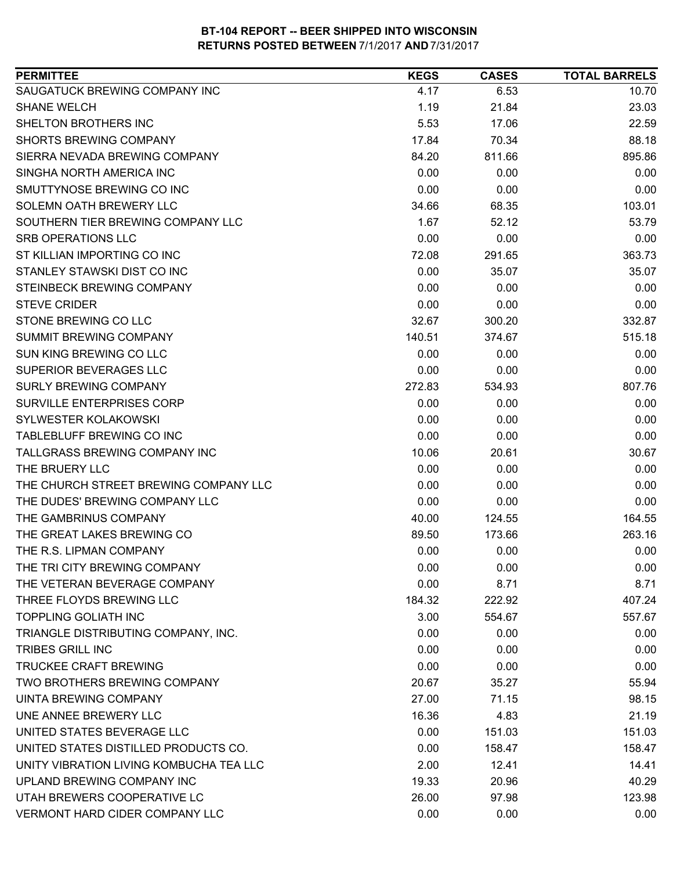| SAUGATUCK BREWING COMPANY INC<br>4.17<br>6.53<br>10.70<br><b>SHANE WELCH</b><br>1.19<br>23.03<br>21.84<br>5.53<br>SHELTON BROTHERS INC<br>17.06<br>22.59<br>88.18<br><b>SHORTS BREWING COMPANY</b><br>17.84<br>70.34<br>895.86<br>SIERRA NEVADA BREWING COMPANY<br>84.20<br>811.66<br>SINGHA NORTH AMERICA INC<br>0.00<br>0.00<br>0.00<br>SMUTTYNOSE BREWING CO INC<br>0.00<br>0.00<br>0.00<br>103.01<br>SOLEMN OATH BREWERY LLC<br>34.66<br>68.35<br>SOUTHERN TIER BREWING COMPANY LLC<br>1.67<br>53.79<br>52.12<br><b>SRB OPERATIONS LLC</b><br>0.00<br>0.00<br>0.00<br>ST KILLIAN IMPORTING CO INC<br>363.73<br>72.08<br>291.65<br>STANLEY STAWSKI DIST CO INC<br>35.07<br>0.00<br>35.07<br>STEINBECK BREWING COMPANY<br>0.00<br>0.00<br>0.00<br><b>STEVE CRIDER</b><br>0.00<br>0.00<br>0.00<br>STONE BREWING CO LLC<br>332.87<br>32.67<br>300.20<br>SUMMIT BREWING COMPANY<br>515.18<br>140.51<br>374.67<br>SUN KING BREWING CO LLC<br>0.00<br>0.00<br>0.00<br>SUPERIOR BEVERAGES LLC<br>0.00<br>0.00<br>0.00<br><b>SURLY BREWING COMPANY</b><br>807.76<br>272.83<br>534.93<br><b>SURVILLE ENTERPRISES CORP</b><br>0.00<br>0.00<br>0.00<br>SYLWESTER KOLAKOWSKI<br>0.00<br>0.00<br>0.00<br>TABLEBLUFF BREWING CO INC<br>0.00<br>0.00<br>0.00<br>TALLGRASS BREWING COMPANY INC<br>10.06<br>20.61<br>30.67<br>THE BRUERY LLC<br>0.00<br>0.00<br>0.00<br>THE CHURCH STREET BREWING COMPANY LLC<br>0.00<br>0.00<br>0.00<br>THE DUDES' BREWING COMPANY LLC<br>0.00<br>0.00<br>0.00<br>THE GAMBRINUS COMPANY<br>40.00<br>164.55<br>124.55<br>263.16<br>THE GREAT LAKES BREWING CO<br>89.50<br>173.66<br>0.00<br>THE R.S. LIPMAN COMPANY<br>0.00<br>0.00<br>THE TRI CITY BREWING COMPANY<br>0.00<br>0.00<br>0.00<br>0.00<br>8.71<br>THE VETERAN BEVERAGE COMPANY<br>8.71<br>THREE FLOYDS BREWING LLC<br>184.32<br>407.24<br>222.92<br><b>TOPPLING GOLIATH INC</b><br>3.00<br>554.67<br>557.67<br>TRIANGLE DISTRIBUTING COMPANY, INC.<br>0.00<br>0.00<br>0.00<br>0.00<br><b>TRIBES GRILL INC</b><br>0.00<br>0.00<br><b>TRUCKEE CRAFT BREWING</b><br>0.00<br>0.00<br>0.00<br>TWO BROTHERS BREWING COMPANY<br>20.67<br>35.27<br>55.94<br>UINTA BREWING COMPANY<br>27.00<br>71.15<br>98.15<br>UNE ANNEE BREWERY LLC<br>16.36<br>4.83<br>21.19<br>UNITED STATES BEVERAGE LLC<br>0.00<br>151.03<br>151.03<br>UNITED STATES DISTILLED PRODUCTS CO.<br>158.47<br>0.00<br>158.47<br>UNITY VIBRATION LIVING KOMBUCHA TEA LLC<br>2.00<br>12.41<br>14.41<br>UPLAND BREWING COMPANY INC<br>40.29<br>19.33<br>20.96<br>UTAH BREWERS COOPERATIVE LC<br>26.00<br>97.98<br>123.98<br><b>VERMONT HARD CIDER COMPANY LLC</b><br>0.00<br>0.00<br>0.00 | <b>PERMITTEE</b> | <b>KEGS</b> | <b>CASES</b> | <b>TOTAL BARRELS</b> |
|--------------------------------------------------------------------------------------------------------------------------------------------------------------------------------------------------------------------------------------------------------------------------------------------------------------------------------------------------------------------------------------------------------------------------------------------------------------------------------------------------------------------------------------------------------------------------------------------------------------------------------------------------------------------------------------------------------------------------------------------------------------------------------------------------------------------------------------------------------------------------------------------------------------------------------------------------------------------------------------------------------------------------------------------------------------------------------------------------------------------------------------------------------------------------------------------------------------------------------------------------------------------------------------------------------------------------------------------------------------------------------------------------------------------------------------------------------------------------------------------------------------------------------------------------------------------------------------------------------------------------------------------------------------------------------------------------------------------------------------------------------------------------------------------------------------------------------------------------------------------------------------------------------------------------------------------------------------------------------------------------------------------------------------------------------------------------------------------------------------------------------------------------------------------------------------------------------------------------------------------------------------------------------------------------------------------------------------------------------------------------------------------------------------------------------------------------------------------------------------------------------------------------------------------------------------------------------------------------------------------------------|------------------|-------------|--------------|----------------------|
|                                                                                                                                                                                                                                                                                                                                                                                                                                                                                                                                                                                                                                                                                                                                                                                                                                                                                                                                                                                                                                                                                                                                                                                                                                                                                                                                                                                                                                                                                                                                                                                                                                                                                                                                                                                                                                                                                                                                                                                                                                                                                                                                                                                                                                                                                                                                                                                                                                                                                                                                                                                                                                |                  |             |              |                      |
|                                                                                                                                                                                                                                                                                                                                                                                                                                                                                                                                                                                                                                                                                                                                                                                                                                                                                                                                                                                                                                                                                                                                                                                                                                                                                                                                                                                                                                                                                                                                                                                                                                                                                                                                                                                                                                                                                                                                                                                                                                                                                                                                                                                                                                                                                                                                                                                                                                                                                                                                                                                                                                |                  |             |              |                      |
|                                                                                                                                                                                                                                                                                                                                                                                                                                                                                                                                                                                                                                                                                                                                                                                                                                                                                                                                                                                                                                                                                                                                                                                                                                                                                                                                                                                                                                                                                                                                                                                                                                                                                                                                                                                                                                                                                                                                                                                                                                                                                                                                                                                                                                                                                                                                                                                                                                                                                                                                                                                                                                |                  |             |              |                      |
|                                                                                                                                                                                                                                                                                                                                                                                                                                                                                                                                                                                                                                                                                                                                                                                                                                                                                                                                                                                                                                                                                                                                                                                                                                                                                                                                                                                                                                                                                                                                                                                                                                                                                                                                                                                                                                                                                                                                                                                                                                                                                                                                                                                                                                                                                                                                                                                                                                                                                                                                                                                                                                |                  |             |              |                      |
|                                                                                                                                                                                                                                                                                                                                                                                                                                                                                                                                                                                                                                                                                                                                                                                                                                                                                                                                                                                                                                                                                                                                                                                                                                                                                                                                                                                                                                                                                                                                                                                                                                                                                                                                                                                                                                                                                                                                                                                                                                                                                                                                                                                                                                                                                                                                                                                                                                                                                                                                                                                                                                |                  |             |              |                      |
|                                                                                                                                                                                                                                                                                                                                                                                                                                                                                                                                                                                                                                                                                                                                                                                                                                                                                                                                                                                                                                                                                                                                                                                                                                                                                                                                                                                                                                                                                                                                                                                                                                                                                                                                                                                                                                                                                                                                                                                                                                                                                                                                                                                                                                                                                                                                                                                                                                                                                                                                                                                                                                |                  |             |              |                      |
|                                                                                                                                                                                                                                                                                                                                                                                                                                                                                                                                                                                                                                                                                                                                                                                                                                                                                                                                                                                                                                                                                                                                                                                                                                                                                                                                                                                                                                                                                                                                                                                                                                                                                                                                                                                                                                                                                                                                                                                                                                                                                                                                                                                                                                                                                                                                                                                                                                                                                                                                                                                                                                |                  |             |              |                      |
|                                                                                                                                                                                                                                                                                                                                                                                                                                                                                                                                                                                                                                                                                                                                                                                                                                                                                                                                                                                                                                                                                                                                                                                                                                                                                                                                                                                                                                                                                                                                                                                                                                                                                                                                                                                                                                                                                                                                                                                                                                                                                                                                                                                                                                                                                                                                                                                                                                                                                                                                                                                                                                |                  |             |              |                      |
|                                                                                                                                                                                                                                                                                                                                                                                                                                                                                                                                                                                                                                                                                                                                                                                                                                                                                                                                                                                                                                                                                                                                                                                                                                                                                                                                                                                                                                                                                                                                                                                                                                                                                                                                                                                                                                                                                                                                                                                                                                                                                                                                                                                                                                                                                                                                                                                                                                                                                                                                                                                                                                |                  |             |              |                      |
|                                                                                                                                                                                                                                                                                                                                                                                                                                                                                                                                                                                                                                                                                                                                                                                                                                                                                                                                                                                                                                                                                                                                                                                                                                                                                                                                                                                                                                                                                                                                                                                                                                                                                                                                                                                                                                                                                                                                                                                                                                                                                                                                                                                                                                                                                                                                                                                                                                                                                                                                                                                                                                |                  |             |              |                      |
|                                                                                                                                                                                                                                                                                                                                                                                                                                                                                                                                                                                                                                                                                                                                                                                                                                                                                                                                                                                                                                                                                                                                                                                                                                                                                                                                                                                                                                                                                                                                                                                                                                                                                                                                                                                                                                                                                                                                                                                                                                                                                                                                                                                                                                                                                                                                                                                                                                                                                                                                                                                                                                |                  |             |              |                      |
|                                                                                                                                                                                                                                                                                                                                                                                                                                                                                                                                                                                                                                                                                                                                                                                                                                                                                                                                                                                                                                                                                                                                                                                                                                                                                                                                                                                                                                                                                                                                                                                                                                                                                                                                                                                                                                                                                                                                                                                                                                                                                                                                                                                                                                                                                                                                                                                                                                                                                                                                                                                                                                |                  |             |              |                      |
|                                                                                                                                                                                                                                                                                                                                                                                                                                                                                                                                                                                                                                                                                                                                                                                                                                                                                                                                                                                                                                                                                                                                                                                                                                                                                                                                                                                                                                                                                                                                                                                                                                                                                                                                                                                                                                                                                                                                                                                                                                                                                                                                                                                                                                                                                                                                                                                                                                                                                                                                                                                                                                |                  |             |              |                      |
|                                                                                                                                                                                                                                                                                                                                                                                                                                                                                                                                                                                                                                                                                                                                                                                                                                                                                                                                                                                                                                                                                                                                                                                                                                                                                                                                                                                                                                                                                                                                                                                                                                                                                                                                                                                                                                                                                                                                                                                                                                                                                                                                                                                                                                                                                                                                                                                                                                                                                                                                                                                                                                |                  |             |              |                      |
|                                                                                                                                                                                                                                                                                                                                                                                                                                                                                                                                                                                                                                                                                                                                                                                                                                                                                                                                                                                                                                                                                                                                                                                                                                                                                                                                                                                                                                                                                                                                                                                                                                                                                                                                                                                                                                                                                                                                                                                                                                                                                                                                                                                                                                                                                                                                                                                                                                                                                                                                                                                                                                |                  |             |              |                      |
|                                                                                                                                                                                                                                                                                                                                                                                                                                                                                                                                                                                                                                                                                                                                                                                                                                                                                                                                                                                                                                                                                                                                                                                                                                                                                                                                                                                                                                                                                                                                                                                                                                                                                                                                                                                                                                                                                                                                                                                                                                                                                                                                                                                                                                                                                                                                                                                                                                                                                                                                                                                                                                |                  |             |              |                      |
|                                                                                                                                                                                                                                                                                                                                                                                                                                                                                                                                                                                                                                                                                                                                                                                                                                                                                                                                                                                                                                                                                                                                                                                                                                                                                                                                                                                                                                                                                                                                                                                                                                                                                                                                                                                                                                                                                                                                                                                                                                                                                                                                                                                                                                                                                                                                                                                                                                                                                                                                                                                                                                |                  |             |              |                      |
|                                                                                                                                                                                                                                                                                                                                                                                                                                                                                                                                                                                                                                                                                                                                                                                                                                                                                                                                                                                                                                                                                                                                                                                                                                                                                                                                                                                                                                                                                                                                                                                                                                                                                                                                                                                                                                                                                                                                                                                                                                                                                                                                                                                                                                                                                                                                                                                                                                                                                                                                                                                                                                |                  |             |              |                      |
|                                                                                                                                                                                                                                                                                                                                                                                                                                                                                                                                                                                                                                                                                                                                                                                                                                                                                                                                                                                                                                                                                                                                                                                                                                                                                                                                                                                                                                                                                                                                                                                                                                                                                                                                                                                                                                                                                                                                                                                                                                                                                                                                                                                                                                                                                                                                                                                                                                                                                                                                                                                                                                |                  |             |              |                      |
|                                                                                                                                                                                                                                                                                                                                                                                                                                                                                                                                                                                                                                                                                                                                                                                                                                                                                                                                                                                                                                                                                                                                                                                                                                                                                                                                                                                                                                                                                                                                                                                                                                                                                                                                                                                                                                                                                                                                                                                                                                                                                                                                                                                                                                                                                                                                                                                                                                                                                                                                                                                                                                |                  |             |              |                      |
|                                                                                                                                                                                                                                                                                                                                                                                                                                                                                                                                                                                                                                                                                                                                                                                                                                                                                                                                                                                                                                                                                                                                                                                                                                                                                                                                                                                                                                                                                                                                                                                                                                                                                                                                                                                                                                                                                                                                                                                                                                                                                                                                                                                                                                                                                                                                                                                                                                                                                                                                                                                                                                |                  |             |              |                      |
|                                                                                                                                                                                                                                                                                                                                                                                                                                                                                                                                                                                                                                                                                                                                                                                                                                                                                                                                                                                                                                                                                                                                                                                                                                                                                                                                                                                                                                                                                                                                                                                                                                                                                                                                                                                                                                                                                                                                                                                                                                                                                                                                                                                                                                                                                                                                                                                                                                                                                                                                                                                                                                |                  |             |              |                      |
|                                                                                                                                                                                                                                                                                                                                                                                                                                                                                                                                                                                                                                                                                                                                                                                                                                                                                                                                                                                                                                                                                                                                                                                                                                                                                                                                                                                                                                                                                                                                                                                                                                                                                                                                                                                                                                                                                                                                                                                                                                                                                                                                                                                                                                                                                                                                                                                                                                                                                                                                                                                                                                |                  |             |              |                      |
|                                                                                                                                                                                                                                                                                                                                                                                                                                                                                                                                                                                                                                                                                                                                                                                                                                                                                                                                                                                                                                                                                                                                                                                                                                                                                                                                                                                                                                                                                                                                                                                                                                                                                                                                                                                                                                                                                                                                                                                                                                                                                                                                                                                                                                                                                                                                                                                                                                                                                                                                                                                                                                |                  |             |              |                      |
|                                                                                                                                                                                                                                                                                                                                                                                                                                                                                                                                                                                                                                                                                                                                                                                                                                                                                                                                                                                                                                                                                                                                                                                                                                                                                                                                                                                                                                                                                                                                                                                                                                                                                                                                                                                                                                                                                                                                                                                                                                                                                                                                                                                                                                                                                                                                                                                                                                                                                                                                                                                                                                |                  |             |              |                      |
|                                                                                                                                                                                                                                                                                                                                                                                                                                                                                                                                                                                                                                                                                                                                                                                                                                                                                                                                                                                                                                                                                                                                                                                                                                                                                                                                                                                                                                                                                                                                                                                                                                                                                                                                                                                                                                                                                                                                                                                                                                                                                                                                                                                                                                                                                                                                                                                                                                                                                                                                                                                                                                |                  |             |              |                      |
|                                                                                                                                                                                                                                                                                                                                                                                                                                                                                                                                                                                                                                                                                                                                                                                                                                                                                                                                                                                                                                                                                                                                                                                                                                                                                                                                                                                                                                                                                                                                                                                                                                                                                                                                                                                                                                                                                                                                                                                                                                                                                                                                                                                                                                                                                                                                                                                                                                                                                                                                                                                                                                |                  |             |              |                      |
|                                                                                                                                                                                                                                                                                                                                                                                                                                                                                                                                                                                                                                                                                                                                                                                                                                                                                                                                                                                                                                                                                                                                                                                                                                                                                                                                                                                                                                                                                                                                                                                                                                                                                                                                                                                                                                                                                                                                                                                                                                                                                                                                                                                                                                                                                                                                                                                                                                                                                                                                                                                                                                |                  |             |              |                      |
|                                                                                                                                                                                                                                                                                                                                                                                                                                                                                                                                                                                                                                                                                                                                                                                                                                                                                                                                                                                                                                                                                                                                                                                                                                                                                                                                                                                                                                                                                                                                                                                                                                                                                                                                                                                                                                                                                                                                                                                                                                                                                                                                                                                                                                                                                                                                                                                                                                                                                                                                                                                                                                |                  |             |              |                      |
|                                                                                                                                                                                                                                                                                                                                                                                                                                                                                                                                                                                                                                                                                                                                                                                                                                                                                                                                                                                                                                                                                                                                                                                                                                                                                                                                                                                                                                                                                                                                                                                                                                                                                                                                                                                                                                                                                                                                                                                                                                                                                                                                                                                                                                                                                                                                                                                                                                                                                                                                                                                                                                |                  |             |              |                      |
|                                                                                                                                                                                                                                                                                                                                                                                                                                                                                                                                                                                                                                                                                                                                                                                                                                                                                                                                                                                                                                                                                                                                                                                                                                                                                                                                                                                                                                                                                                                                                                                                                                                                                                                                                                                                                                                                                                                                                                                                                                                                                                                                                                                                                                                                                                                                                                                                                                                                                                                                                                                                                                |                  |             |              |                      |
|                                                                                                                                                                                                                                                                                                                                                                                                                                                                                                                                                                                                                                                                                                                                                                                                                                                                                                                                                                                                                                                                                                                                                                                                                                                                                                                                                                                                                                                                                                                                                                                                                                                                                                                                                                                                                                                                                                                                                                                                                                                                                                                                                                                                                                                                                                                                                                                                                                                                                                                                                                                                                                |                  |             |              |                      |
|                                                                                                                                                                                                                                                                                                                                                                                                                                                                                                                                                                                                                                                                                                                                                                                                                                                                                                                                                                                                                                                                                                                                                                                                                                                                                                                                                                                                                                                                                                                                                                                                                                                                                                                                                                                                                                                                                                                                                                                                                                                                                                                                                                                                                                                                                                                                                                                                                                                                                                                                                                                                                                |                  |             |              |                      |
|                                                                                                                                                                                                                                                                                                                                                                                                                                                                                                                                                                                                                                                                                                                                                                                                                                                                                                                                                                                                                                                                                                                                                                                                                                                                                                                                                                                                                                                                                                                                                                                                                                                                                                                                                                                                                                                                                                                                                                                                                                                                                                                                                                                                                                                                                                                                                                                                                                                                                                                                                                                                                                |                  |             |              |                      |
|                                                                                                                                                                                                                                                                                                                                                                                                                                                                                                                                                                                                                                                                                                                                                                                                                                                                                                                                                                                                                                                                                                                                                                                                                                                                                                                                                                                                                                                                                                                                                                                                                                                                                                                                                                                                                                                                                                                                                                                                                                                                                                                                                                                                                                                                                                                                                                                                                                                                                                                                                                                                                                |                  |             |              |                      |
|                                                                                                                                                                                                                                                                                                                                                                                                                                                                                                                                                                                                                                                                                                                                                                                                                                                                                                                                                                                                                                                                                                                                                                                                                                                                                                                                                                                                                                                                                                                                                                                                                                                                                                                                                                                                                                                                                                                                                                                                                                                                                                                                                                                                                                                                                                                                                                                                                                                                                                                                                                                                                                |                  |             |              |                      |
|                                                                                                                                                                                                                                                                                                                                                                                                                                                                                                                                                                                                                                                                                                                                                                                                                                                                                                                                                                                                                                                                                                                                                                                                                                                                                                                                                                                                                                                                                                                                                                                                                                                                                                                                                                                                                                                                                                                                                                                                                                                                                                                                                                                                                                                                                                                                                                                                                                                                                                                                                                                                                                |                  |             |              |                      |
|                                                                                                                                                                                                                                                                                                                                                                                                                                                                                                                                                                                                                                                                                                                                                                                                                                                                                                                                                                                                                                                                                                                                                                                                                                                                                                                                                                                                                                                                                                                                                                                                                                                                                                                                                                                                                                                                                                                                                                                                                                                                                                                                                                                                                                                                                                                                                                                                                                                                                                                                                                                                                                |                  |             |              |                      |
|                                                                                                                                                                                                                                                                                                                                                                                                                                                                                                                                                                                                                                                                                                                                                                                                                                                                                                                                                                                                                                                                                                                                                                                                                                                                                                                                                                                                                                                                                                                                                                                                                                                                                                                                                                                                                                                                                                                                                                                                                                                                                                                                                                                                                                                                                                                                                                                                                                                                                                                                                                                                                                |                  |             |              |                      |
|                                                                                                                                                                                                                                                                                                                                                                                                                                                                                                                                                                                                                                                                                                                                                                                                                                                                                                                                                                                                                                                                                                                                                                                                                                                                                                                                                                                                                                                                                                                                                                                                                                                                                                                                                                                                                                                                                                                                                                                                                                                                                                                                                                                                                                                                                                                                                                                                                                                                                                                                                                                                                                |                  |             |              |                      |
|                                                                                                                                                                                                                                                                                                                                                                                                                                                                                                                                                                                                                                                                                                                                                                                                                                                                                                                                                                                                                                                                                                                                                                                                                                                                                                                                                                                                                                                                                                                                                                                                                                                                                                                                                                                                                                                                                                                                                                                                                                                                                                                                                                                                                                                                                                                                                                                                                                                                                                                                                                                                                                |                  |             |              |                      |
|                                                                                                                                                                                                                                                                                                                                                                                                                                                                                                                                                                                                                                                                                                                                                                                                                                                                                                                                                                                                                                                                                                                                                                                                                                                                                                                                                                                                                                                                                                                                                                                                                                                                                                                                                                                                                                                                                                                                                                                                                                                                                                                                                                                                                                                                                                                                                                                                                                                                                                                                                                                                                                |                  |             |              |                      |
|                                                                                                                                                                                                                                                                                                                                                                                                                                                                                                                                                                                                                                                                                                                                                                                                                                                                                                                                                                                                                                                                                                                                                                                                                                                                                                                                                                                                                                                                                                                                                                                                                                                                                                                                                                                                                                                                                                                                                                                                                                                                                                                                                                                                                                                                                                                                                                                                                                                                                                                                                                                                                                |                  |             |              |                      |
|                                                                                                                                                                                                                                                                                                                                                                                                                                                                                                                                                                                                                                                                                                                                                                                                                                                                                                                                                                                                                                                                                                                                                                                                                                                                                                                                                                                                                                                                                                                                                                                                                                                                                                                                                                                                                                                                                                                                                                                                                                                                                                                                                                                                                                                                                                                                                                                                                                                                                                                                                                                                                                |                  |             |              |                      |
|                                                                                                                                                                                                                                                                                                                                                                                                                                                                                                                                                                                                                                                                                                                                                                                                                                                                                                                                                                                                                                                                                                                                                                                                                                                                                                                                                                                                                                                                                                                                                                                                                                                                                                                                                                                                                                                                                                                                                                                                                                                                                                                                                                                                                                                                                                                                                                                                                                                                                                                                                                                                                                |                  |             |              |                      |